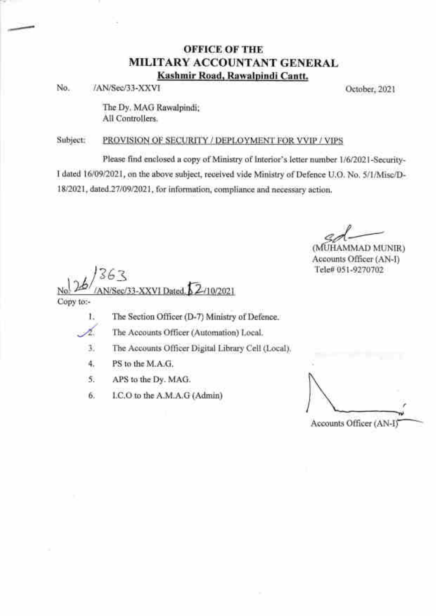### OFFICE OF THE MILITARY ACCOUNTANT GENERAL Kashmir Road. Rawalpindi Cantt.

No. /AN/Sec/33-XXVI October,202l

-4r-

The Dy. MAG Rawalpindi; All Controllers.

### Subject: PROVISION OF SECURITY / DEPLOYMENT FOR VVIP / VIPS

Please find enclosed a copy of Ministry of Interior's letter number 1/6/2021-Security-I dated 1610912021, on the above subject, received vide Ministry of Def'ence U.O. No. 5/1/Misc/D-1812021, dated.27l0912021, for information, compliance and necessary action.

(MUHAMMAD MUNIR) Accounts Officer (AN-I) Tele# 051-9270702

5 b\_s  $\frac{1}{2}$ 10/2021 AN/Sec/33-XXVI Dated, b 2 Copy to:-

- 1. The Section Officer (D-7) Ministry of Defence.
- The Accounts Officer (Automation) Local.
- The Accounts Officer Digital Library Cell (Local). J
- PS to the M.A.G. 4.
- APS to the Dy. MAG. 5.
- LC.O to the A.M.A.G (Admin) 6.

Accounts Officer (AN-I)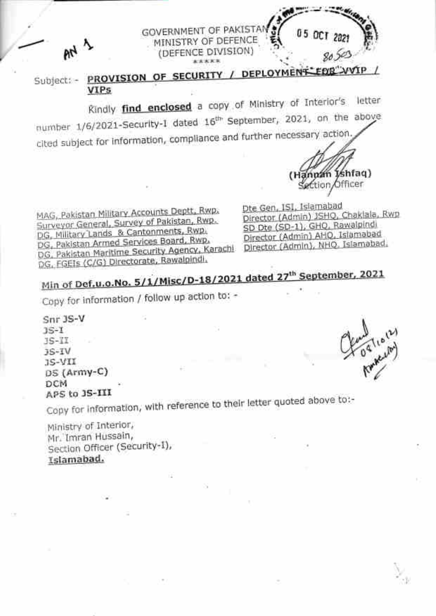PROVISION OF SECURITY / DEPLOYMENT EDE VVIP Subject: -**VIPs** 

**GOVERNMENT OF PAKISTAN** MINISTRY OF DEFENCE

(DEFENCE DIVISION) \*\*\*\*\*

Rindly find enclosed a copy of Ministry of Interior's letter number 1/6/2021-Security-1 dated 16<sup>th</sup> September, 2021, on the above cited subject for information, compliance and further necessary action

MAG, Pakistan Military Accounts Deptt, Rwp. Surveyor General, Survey of Pakistan, Rwp. DG, Military Lands & Cantonments, Rwp. DG, Pakistan Armed Services Board, Rwp. DG, Pakistan Maritime Security Agency, Karachi DG, FGEIs (C/G) Directorate, Rawalpindi,

Dte Gen, ISI, Islamabad Director (Admin) JSHQ, Chaklala, Rwp SD Dte (SD-1), GHQ, Rawalpindi Director (Admin) AHO, Islamabad Director (Admin), NHQ, Islamabad,

tion

n Ishfaq) Officer

# Min of Def.u.o.No. 5/1/Misc/D-18/2021 dated 27<sup>th</sup> September, 2021

Copy for information / follow up action to: -

Snr 3S-V  $35 - 1$  $JS-III$  $15 - IV$ JS-VII DS (Army-C) **DCM** APS to 3S-III

 $M$ 

Copy for information, with reference to their letter quoted above to:-

Ministry of Interior, Mr. Imran Hussain, Section Officer (Security-1), Islamabad.